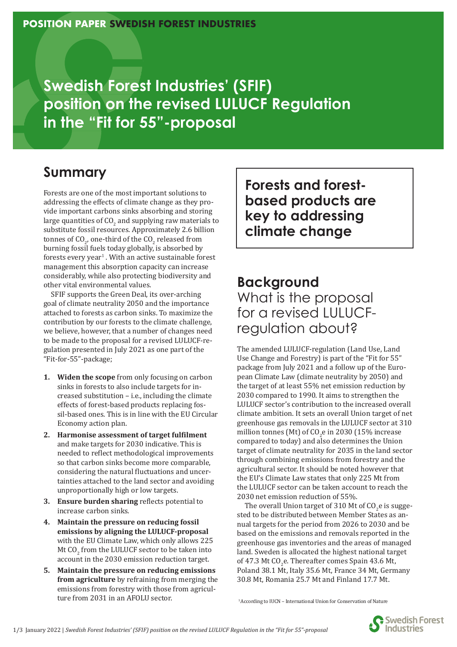**Swedish Forest Industries' (SFIF) position on the revised LULUCF Regulation in the "Fit for 55"-proposal**

# **Summary**

Forests are one of the most important solutions to addressing the effects of climate change as they provide important carbons sinks absorbing and storing large quantities of  $CO<sub>2</sub>$  and supplying raw materials to substitute fossil resources. Approximately 2.6 billion tonnes of  $CO_{2'}$  one-third of the  $CO_{2}$  released from burning fossil fuels today globally, is absorbed by forests every year $^1$  . With an active sustainable forest management this absorption capacity can increase considerably, while also protecting biodiversity and other vital environmental values.

SFIF supports the Green Deal, its over-arching goal of climate neutrality 2050 and the importance attached to forests as carbon sinks. To maximize the contribution by our forests to the climate challenge, we believe, however, that a number of changes need to be made to the proposal for a revised LULUCF-regulation presented in July 2021 as one part of the "Fit-for-55"-package;

- **1. Widen the scope** from only focusing on carbon sinks in forests to also include targets for increased substitution – i.e., including the climate effects of forest-based products replacing fossil-based ones. This is in line with the EU Circular Economy action plan.
- **2. Harmonise assessment of target ful�ilment** and make targets for 2030 indicative. This is needed to reflect methodological improvements so that carbon sinks become more comparable, considering the natural fluctuations and uncertainties attached to the land sector and avoiding unproportionally high or low targets.
- **3.** Ensure burden sharing reflects potential to increase carbon sinks.
- **4. Maintain the pressure on reducing fossil emissions by aligning the LULUCF-proposal**  with the EU Climate Law, which only allows 225 Mt  $CO<sub>2</sub>$  from the LULUCF sector to be taken into account in the 2030 emission reduction target.
- **5. Maintain the pressure on reducing emissions from agriculture** by refraining from merging the emissions from forestry with those from agriculture from 2031 in an AFOLU sector.

**Forests and forestbased products are key to addressing climate change**

## **Background**  What is the proposal for a revised LULUCFregulation about?

The amended LULUCF-regulation (Land Use, Land Use Change and Forestry) is part of the "Fit for 55" package from July 2021 and a follow up of the European Climate Law (climate neutrality by 2050) and the target of at least 55% net emission reduction by 2030 compared to 1990. It aims to strengthen the LULUCF sector's contribution to the increased overall climate ambition. It sets an overall Union target of net greenhouse gas removals in the LULUCF sector at 310 million tonnes (Mt) of  $CO<sub>2</sub>e$  in 2030 (15% increase compared to today) and also determines the Union target of climate neutrality for 2035 in the land sector through combining emissions from forestry and the agricultural sector. It should be noted however that the EU's Climate Law states that only 225 Mt from the LULUCF sector can be taken account to reach the 2030 net emission reduction of 55%.

The overall Union target of 310 Mt of  $CO<sub>2</sub>$ e is suggested to be distributed between Member States as annual targets for the period from 2026 to 2030 and be based on the emissions and removals reported in the greenhouse gas inventories and the areas of managed land. Sweden is allocated the highest national target of 47.3 Mt  $CO<sub>2</sub>$ e. Thereafter comes Spain 43.6 Mt, Poland 38.1 Mt, Italy 35.6 Mt, France 34 Mt, Germany 30.8 Mt, Romania 25.7 Mt and Finland 17.7 Mt.

1 According to IUCN – International Union for Conservation of Nature

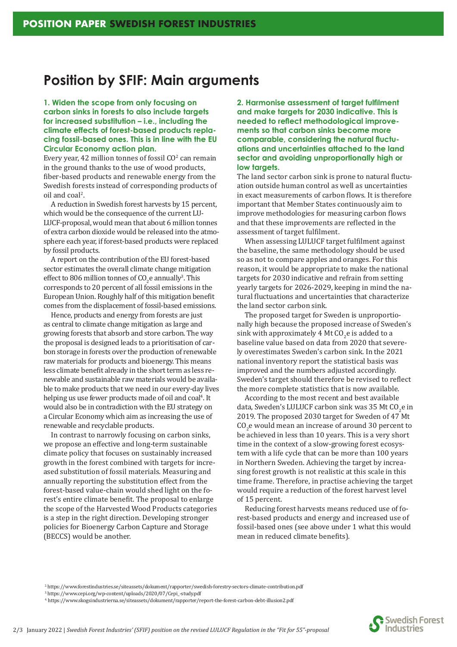### **Position by SFIF: Main arguments**

**1. Widen the scope from only focusing on carbon sinks in forests to also include targets for increased substitution – i.e., including the climate effects of forest-based products replacing fossil-based ones. This is in line with the EU Circular Economy action plan.**

Every year, 42 million tonnes of fossil  $CO<sup>2</sup>$  can remain in the ground thanks to the use of wood products, fiber-based products and renewable energy from the Swedish forests instead of corresponding products of oil and coal<sup>2</sup>.

A reduction in Swedish forest harvests by 15 percent, which would be the consequence of the current LU-LUCF-proposal, would mean that about 6 million tonnes of extra carbon dioxide would be released into the atmosphere each year, if forest-based products were replaced by fossil products.

A report on the contribution of the EU forest-based sector estimates the overall climate change mitigation effect to 806 million tonnes of  $CO<sub>2</sub>$ e annually<sup>3</sup>. This corresponds to 20 percent of all fossil emissions in the European Union. Roughly half of this mitigation bene�it comes from the displacement of fossil-based emissions.

Hence, products and energy from forests are just as central to climate change mitigation as large and growing forests that absorb and store carbon. The way the proposal is designed leads to a prioritisation of carbon storage in forests over the production of renewable raw materials for products and bioenergy. This means less climate bene�it already in the short term as less renewable and sustainable raw materials would be available to make products that we need in our every-day lives helping us use fewer products made of oil and coal<sup>4</sup>. It would also be in contradiction with the EU strategy on a Circular Economy which aim as increasing the use of renewable and recyclable products.

In contrast to narrowly focusing on carbon sinks, we propose an effective and long-term sustainable climate policy that focuses on sustainably increased growth in the forest combined with targets for increased substitution of fossil materials. Measuring and annually reporting the substitution effect from the forest-based value-chain would shed light on the forest's entire climate bene�it. The proposal to enlarge the scope of the Harvested Wood Products categories is a step in the right direction. Developing stronger policies for Bioenergy Carbon Capture and Storage (BECCS) would be another.

**2. Harmonise assessment of target fulfilment and make targets for 2030 indicative. This is**  needed to reflect methodological improve**ments so that carbon sinks become more**  comparable, considering the natural fluctu**ations and uncertainties attached to the land sector and avoiding unproportionally high or low targets.**

The land sector carbon sink is prone to natural fluctuation outside human control as well as uncertainties in exact measurements of carbon flows. It is therefore important that Member States continuously aim to improve methodologies for measuring carbon flows and that these improvements are reflected in the assessment of target ful�ilment.

When assessing LULUCF target fulfilment against the baseline, the same methodology should be used so as not to compare apples and oranges. For this reason, it would be appropriate to make the national targets for 2030 indicative and refrain from setting yearly targets for 2026-2029, keeping in mind the natural fluctuations and uncertainties that characterize the land sector carbon sink.

The proposed target for Sweden is unproportionally high because the proposed increase of Sweden's sink with approximately 4 Mt  $CO<sub>2</sub>$ e is added to a baseline value based on data from 2020 that severely overestimates Sweden's carbon sink. In the 2021 national inventory report the statistical basis was improved and the numbers adjusted accordingly. Sweden's target should therefore be revised to reflect the more complete statistics that is now available.

According to the most recent and best available data, Sweden's LULUCF carbon sink was 35 Mt CO<sub>2</sub>e in 2019. The proposed 2030 target for Sweden of 47 Mt  $CO<sub>2</sub>$ e would mean an increase of around 30 percent to be achieved in less than 10 years. This is a very short time in the context of a slow-growing forest ecosystem with a life cycle that can be more than 100 years in Northern Sweden. Achieving the target by increasing forest growth is not realistic at this scale in this time frame. Therefore, in practise achieving the target would require a reduction of the forest harvest level of 15 percent.

Reducing forest harvests means reduced use of forest-based products and energy and increased use of fossil-based ones (see above under 1 what this would mean in reduced climate benefits).

 <sup>2.</sup> https://www.forestindustries.se/siteassets/dokument/rapporter/swedish-forestry-sectors-climate-contribution.pdf

 <sup>3.</sup> https://www.cepi.org/wp-content/uploads/2020/07/Cepi\_-study.pdf

 <sup>4.</sup> https://www.skogsindustrierna.se/siteassets/dokument/rapporter/report-the-forest-carbon-debt-illusion2.pdf